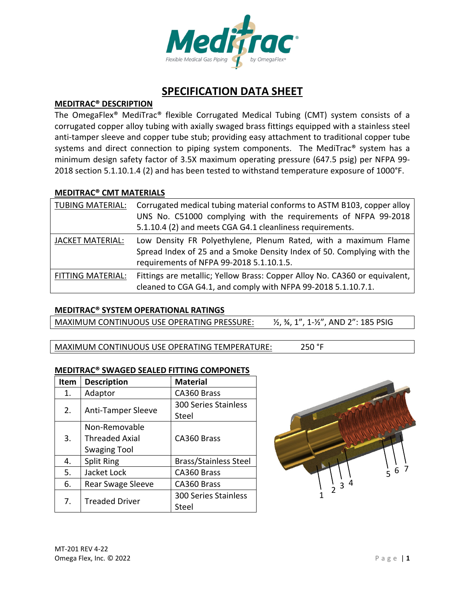

# **SPECIFICATION DATA SHEET**

## **MEDITRAC® DESCRIPTION**

The OmegaFlex® MediTrac® flexible Corrugated Medical Tubing (CMT) system consists of a corrugated copper alloy tubing with axially swaged brass fittings equipped with a stainless steel anti-tamper sleeve and copper tube stub; providing easy attachment to traditional copper tube systems and direct connection to piping system components. The MediTrac® system has a minimum design safety factor of 3.5X maximum operating pressure (647.5 psig) per NFPA 99‐ 2018 section 5.1.10.1.4 (2) and has been tested to withstand temperature exposure of 1000°F.

#### **MEDITRAC® CMT MATERIALS**

| <b>TUBING MATERIAL:</b> | Corrugated medical tubing material conforms to ASTM B103, copper alloy<br>UNS No. C51000 complying with the requirements of NFPA 99-2018<br>5.1.10.4 (2) and meets CGA G4.1 cleanliness requirements. |
|-------------------------|-------------------------------------------------------------------------------------------------------------------------------------------------------------------------------------------------------|
| <b>JACKET MATERIAL:</b> | Low Density FR Polyethylene, Plenum Rated, with a maximum Flame<br>Spread Index of 25 and a Smoke Density Index of 50. Complying with the<br>requirements of NFPA 99-2018 5.1.10.1.5.                 |
| FITTING MATERIAL:       | Fittings are metallic; Yellow Brass: Copper Alloy No. CA360 or equivalent,<br>cleaned to CGA G4.1, and comply with NFPA 99-2018 5.1.10.7.1.                                                           |

## **MEDITRAC® SYSTEM OPERATIONAL RATINGS**

MAXIMUM CONTINUOUS USE OPERATING PRESSURE:  $\frac{1}{2}$ ,  $\frac{3}{4}$ ,  $\frac{1}{7}$ ,  $\frac{1}{2}$ ,  $\frac{1}{2}$ , AND 2": 185 PSIG

MAXIMUM CONTINUOUS USE OPERATING TEMPERATURE: 250 °F

## **MEDITRAC® SWAGED SEALED FITTING COMPONETS**

| Item | <b>Description</b>        | <b>Material</b>              |  |
|------|---------------------------|------------------------------|--|
| 1.   | Adaptor                   | CA360 Brass                  |  |
| 2.   | <b>Anti-Tamper Sleeve</b> | <b>300 Series Stainless</b>  |  |
|      |                           | Steel                        |  |
|      | Non-Removable             |                              |  |
| 3.   | <b>Threaded Axial</b>     | CA360 Brass                  |  |
|      | <b>Swaging Tool</b>       |                              |  |
| 4.   | <b>Split Ring</b>         | <b>Brass/Stainless Steel</b> |  |
| 5.   | Jacket Lock               | CA360 Brass                  |  |
| 6.   | <b>Rear Swage Sleeve</b>  | CA360 Brass                  |  |
| 7.   | <b>Treaded Driver</b>     | <b>300 Series Stainless</b>  |  |
|      |                           | Steel                        |  |